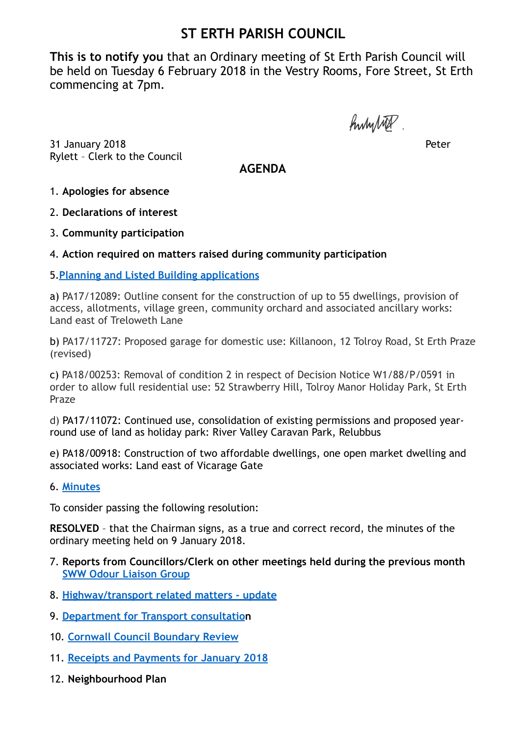# **ST ERTH PARISH COUNCIL**

**This is to notify you** that an Ordinary meeting of St Erth Parish Council will be held on Tuesday 6 February 2018 in the Vestry Rooms, Fore Street, St Erth commencing at 7pm.

hundred.

31 January 2018 Peter Rylett – Clerk to the Council

**AGENDA**

1. **Apologies for absence**

2. **Declarations of interest** 

3. **Community participation** 

## 4. **Action required on matters raised during community participation**

## 5.**[Planning and Listed Building applications](http://www.sterth-pc.gov.uk/planning-applications-table/)**

a) PA17/12089: Outline consent for the construction of up to 55 dwellings, provision of access, allotments, village green, community orchard and associated ancillary works: Land east of Treloweth Lane

b) PA17/11727: Proposed garage for domestic use: Killanoon, 12 Tolroy Road, St Erth Praze (revised)

c) PA18/00253: Removal of condition 2 in respect of Decision Notice W1/88/P/0591 in order to allow full residential use: 52 Strawberry Hill, Tolroy Manor Holiday Park, St Erth Praze

d) PA17/11072: Continued use, consolidation of existing permissions and proposed yearround use of land as holiday park: River Valley Caravan Park, Relubbus

e) PA18/00918: [Construction of two affordable dwellings, one open market dwelling and](http://planning.cornwall.gov.uk/online-applications/applicationDetails.do?activeTab=summary&keyVal=OYQZCBFGG9Z00&prevPage=inTray)  [associated works](http://planning.cornwall.gov.uk/online-applications/applicationDetails.do?activeTab=summary&keyVal=OYQZCBFGG9Z00&prevPage=inTray): Land east of Vicarage Gate

## 6. **[Minutes](http://www.sterth-pc.gov.uk/type/minutes-2/)**

To consider passing the following resolution:

**RESOLVED** – that the Chairman signs, as a true and correct record, the minutes of the ordinary meeting held on 9 January 2018.

- 7. **Reports from Councillors/Clerk on other meetings held during the previous month [SWW Odour Liaison Group](http://www.sterth-pc.gov.uk/wp-content/uploads/2018/02/Hayle-Odour-Liaison-Minutes-17-01-2018.pdf)**
- 8. **[Highway/transport related matters update](http://www.sterth-pc.gov.uk/wp-content/uploads/2018/02/Report-8.pdf)**
- 9. **[Department for Transport consultatio](http://www.sterth-pc.gov.uk/wp-content/uploads/2018/02/report-9.pdf)n**
- 10. **[Cornwall Council Boundary Review](http://www.sterth-pc.gov.uk/wp-content/uploads/2018/02/boundry.pdf)**
- 11. **[Receipts and Payments for January 2018](http://www.sterth-pc.gov.uk/type/financial-matters/)**
- 12. **Neighbourhood Plan**